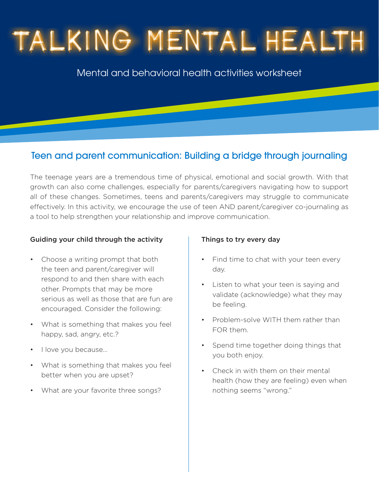# TALKING MENTAL HEALTH

Mental and behavioral health activities worksheet

### Teen and parent communication: Building a bridge through journaling

The teenage years are a tremendous time of physical, emotional and social growth. With that growth can also come challenges, especially for parents/caregivers navigating how to support all of these changes. Sometimes, teens and parents/caregivers may struggle to communicate effectively. In this activity, we encourage the use of teen AND parent/caregiver co-journaling as a tool to help strengthen your relationship and improve communication.

#### Guiding your child through the activity

- Choose a writing prompt that both the teen and parent/caregiver will respond to and then share with each other. Prompts that may be more serious as well as those that are fun are encouraged. Consider the following:
- What is something that makes you feel happy, sad, angry, etc.?
- I love you because...
- What is something that makes you feel better when you are upset?
- What are your favorite three songs?

#### Things to try every day

- Find time to chat with your teen every day.
- Listen to what your teen is saying and validate (acknowledge) what they may be feeling.
- Problem-solve WITH them rather than FOR them.
- Spend time together doing things that you both enjoy.
- Check in with them on their mental health (how they are feeling) even when nothing seems "wrong."